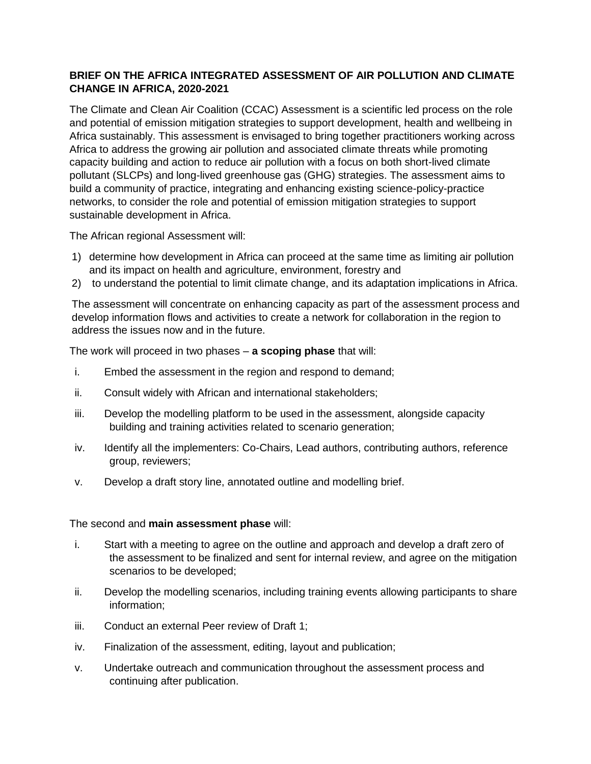## **BRIEF ON THE AFRICA INTEGRATED ASSESSMENT OF AIR POLLUTION AND CLIMATE CHANGE IN AFRICA, 2020-2021**

The Climate and Clean Air Coalition (CCAC) Assessment is a scientific led process on the role and potential of emission mitigation strategies to support development, health and wellbeing in Africa sustainably. This assessment is envisaged to bring together practitioners working across Africa to address the growing air pollution and associated climate threats while promoting capacity building and action to reduce air pollution with a focus on both short-lived climate pollutant (SLCPs) and long-lived greenhouse gas (GHG) strategies. The assessment aims to build a community of practice, integrating and enhancing existing science-policy-practice networks, to consider the role and potential of emission mitigation strategies to support sustainable development in Africa.

The African regional Assessment will:

- 1) determine how development in Africa can proceed at the same time as limiting air pollution and its impact on health and agriculture, environment, forestry and
- 2) to understand the potential to limit climate change, and its adaptation implications in Africa.

The assessment will concentrate on enhancing capacity as part of the assessment process and develop information flows and activities to create a network for collaboration in the region to address the issues now and in the future.

The work will proceed in two phases – **a scoping phase** that will:

- i. Embed the assessment in the region and respond to demand;
- ii. Consult widely with African and international stakeholders;
- iii. Develop the modelling platform to be used in the assessment, alongside capacity building and training activities related to scenario generation;
- iv. Identify all the implementers: Co-Chairs, Lead authors, contributing authors, reference group, reviewers;
- v. Develop a draft story line, annotated outline and modelling brief.

## The second and **main assessment phase** will:

- i. Start with a meeting to agree on the outline and approach and develop a draft zero of the assessment to be finalized and sent for internal review, and agree on the mitigation scenarios to be developed;
- ii. Develop the modelling scenarios, including training events allowing participants to share information;
- iii. Conduct an external Peer review of Draft 1;
- iv. Finalization of the assessment, editing, layout and publication;
- v. Undertake outreach and communication throughout the assessment process and continuing after publication.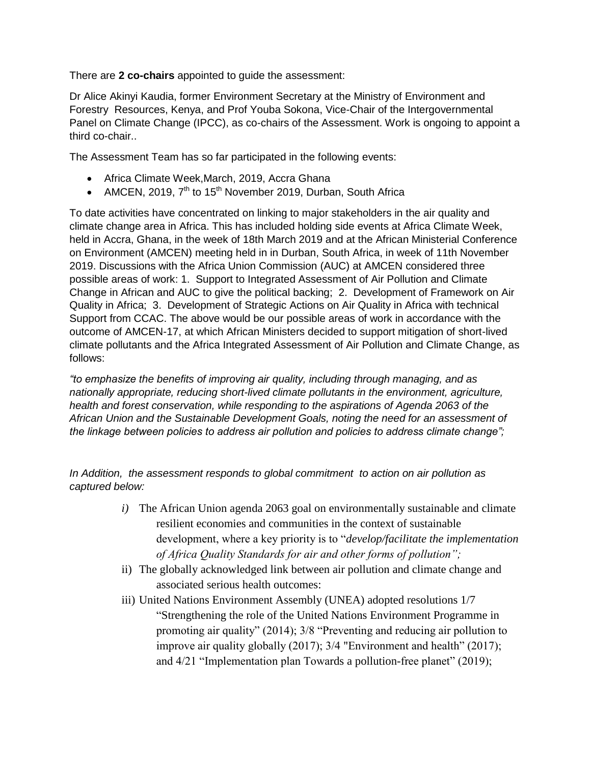There are **2 co-chairs** appointed to guide the assessment:

Dr Alice Akinyi Kaudia, former Environment Secretary at the Ministry of Environment and Forestry Resources, Kenya, and Prof Youba Sokona, Vice-Chair of the Intergovernmental Panel on Climate Change (IPCC), as co-chairs of the Assessment. Work is ongoing to appoint a third co-chair..

The Assessment Team has so far participated in the following events:

- Africa Climate Week,March, 2019, Accra Ghana
- AMCEN, 2019,  $7<sup>th</sup>$  to 15<sup>th</sup> November 2019, Durban, South Africa

To date activities have concentrated on linking to major stakeholders in the air quality and climate change area in Africa. This has included holding side events at Africa Climate Week, held in Accra, Ghana, in the week of 18th March 2019 and at the African Ministerial Conference on Environment (AMCEN) meeting held in in Durban, South Africa, in week of 11th November 2019. Discussions with the Africa Union Commission (AUC) at AMCEN considered three possible areas of work: 1. Support to Integrated Assessment of Air Pollution and Climate Change in African and AUC to give the political backing; 2. Development of Framework on Air Quality in Africa; 3. Development of Strategic Actions on Air Quality in Africa with technical Support from CCAC. The above would be our possible areas of work in accordance with the outcome of AMCEN-17, at which African Ministers decided to support mitigation of short-lived climate pollutants and the Africa Integrated Assessment of Air Pollution and Climate Change, as follows:

*"to emphasize the benefits of improving air quality, including through managing, and as nationally appropriate, reducing short-lived climate pollutants in the environment, agriculture, health and forest conservation, while responding to the aspirations of Agenda 2063 of the African Union and the Sustainable Development Goals, noting the need for an assessment of the linkage between policies to address air pollution and policies to address climate change";*

*In Addition, the assessment responds to global commitment to action on air pollution as captured below:*

- *i)* The African Union agenda 2063 goal on environmentally sustainable and climate resilient economies and communities in the context of sustainable development, where a key priority is to "*develop/facilitate the implementation of Africa Quality Standards for air and other forms of pollution";*
- ii) The globally acknowledged link between air pollution and climate change and associated serious health outcomes:
- iii) United Nations Environment Assembly (UNEA) adopted resolutions 1/7 "Strengthening the role of the United Nations Environment Programme in promoting air quality" (2014); 3/8 "Preventing and reducing air pollution to improve air quality globally (2017); 3/4 "Environment and health" (2017); and 4/21 "Implementation plan Towards a pollution-free planet" (2019);